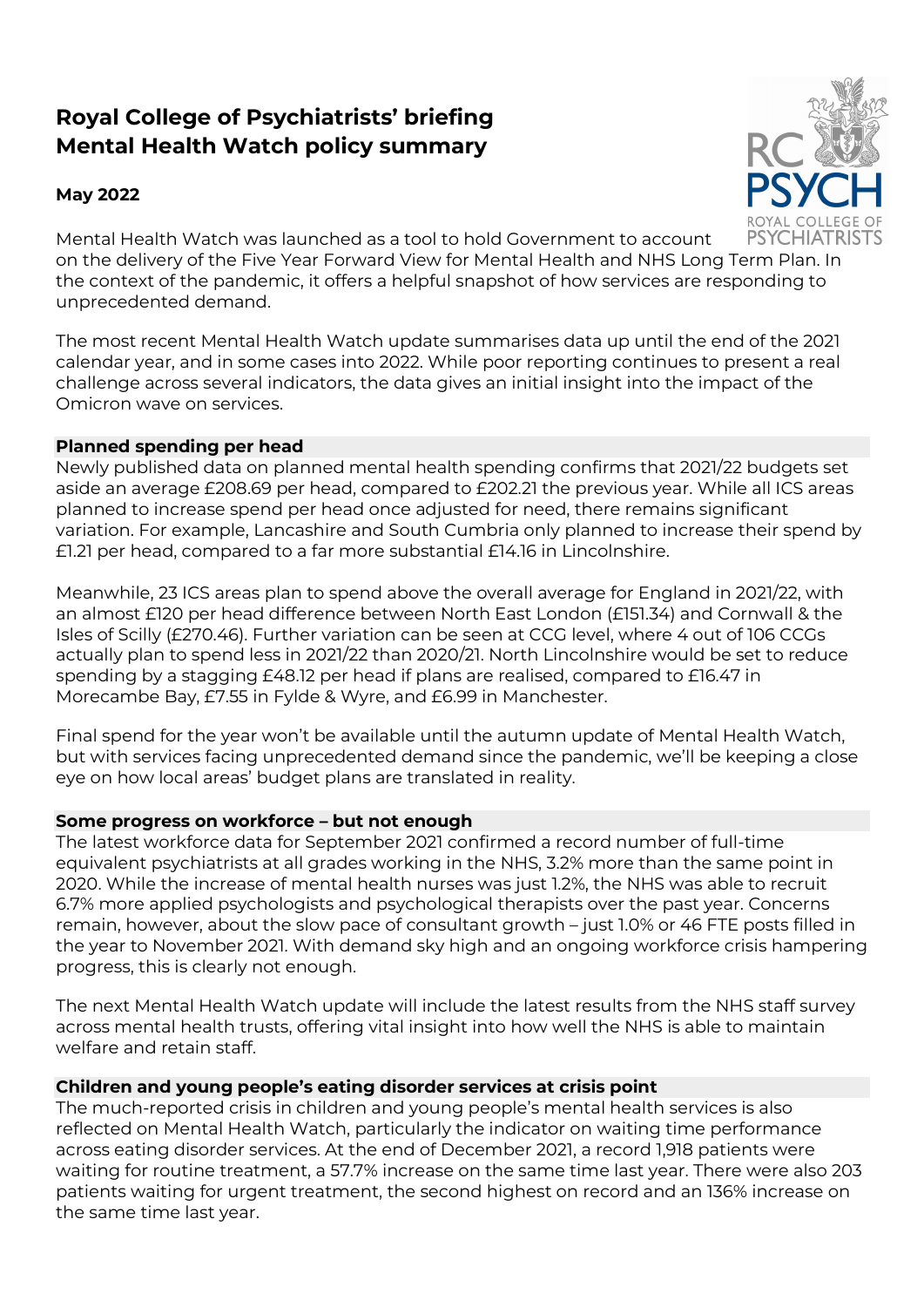# Royal College of Psychiatrists' briefing Mental Health Watch policy summary

## May 2022



Mental Health Watch was launched as a tool to hold Government to account on the delivery of the Five Year Forward View for Mental Health and NHS Long Term Plan. In the context of the pandemic, it offers a helpful snapshot of how services are responding to unprecedented demand.

The most recent Mental Health Watch update summarises data up until the end of the 2021 calendar year, and in some cases into 2022. While poor reporting continues to present a real challenge across several indicators, the data gives an initial insight into the impact of the Omicron wave on services.

## Planned spending per head

Newly published data on planned mental health spending confirms that 2021/22 budgets set aside an average £208.69 per head, compared to £202.21 the previous year. While all ICS areas planned to increase spend per head once adjusted for need, there remains significant variation. For example, Lancashire and South Cumbria only planned to increase their spend by £1.21 per head, compared to a far more substantial £14.16 in Lincolnshire.

Meanwhile, 23 ICS areas plan to spend above the overall average for England in 2021/22, with an almost £120 per head difference between North East London (£151.34) and Cornwall & the Isles of Scilly (£270.46). Further variation can be seen at CCG level, where 4 out of 106 CCGs actually plan to spend less in 2021/22 than 2020/21. North Lincolnshire would be set to reduce spending by a stagging £48.12 per head if plans are realised, compared to £16.47 in Morecambe Bay, £7.55 in Fylde & Wyre, and £6.99 in Manchester.

Final spend for the year won't be available until the autumn update of Mental Health Watch, but with services facing unprecedented demand since the pandemic, we'll be keeping a close eye on how local areas' budget plans are translated in reality.

## Some progress on workforce – but not enough

The latest workforce data for September 2021 confirmed a record number of full-time equivalent psychiatrists at all grades working in the NHS, 3.2% more than the same point in 2020. While the increase of mental health nurses was just 1.2%, the NHS was able to recruit 6.7% more applied psychologists and psychological therapists over the past year. Concerns remain, however, about the slow pace of consultant growth – just 1.0% or 46 FTE posts filled in the year to November 2021. With demand sky high and an ongoing workforce crisis hampering progress, this is clearly not enough.

The next Mental Health Watch update will include the latest results from the NHS staff survey across mental health trusts, offering vital insight into how well the NHS is able to maintain welfare and retain staff.

### Children and young people's eating disorder services at crisis point

The much-reported crisis in children and young people's mental health services is also reflected on Mental Health Watch, particularly the indicator on waiting time performance across eating disorder services. At the end of December 2021, a record 1,918 patients were waiting for routine treatment, a 57.7% increase on the same time last year. There were also 203 patients waiting for urgent treatment, the second highest on record and an 136% increase on the same time last year.